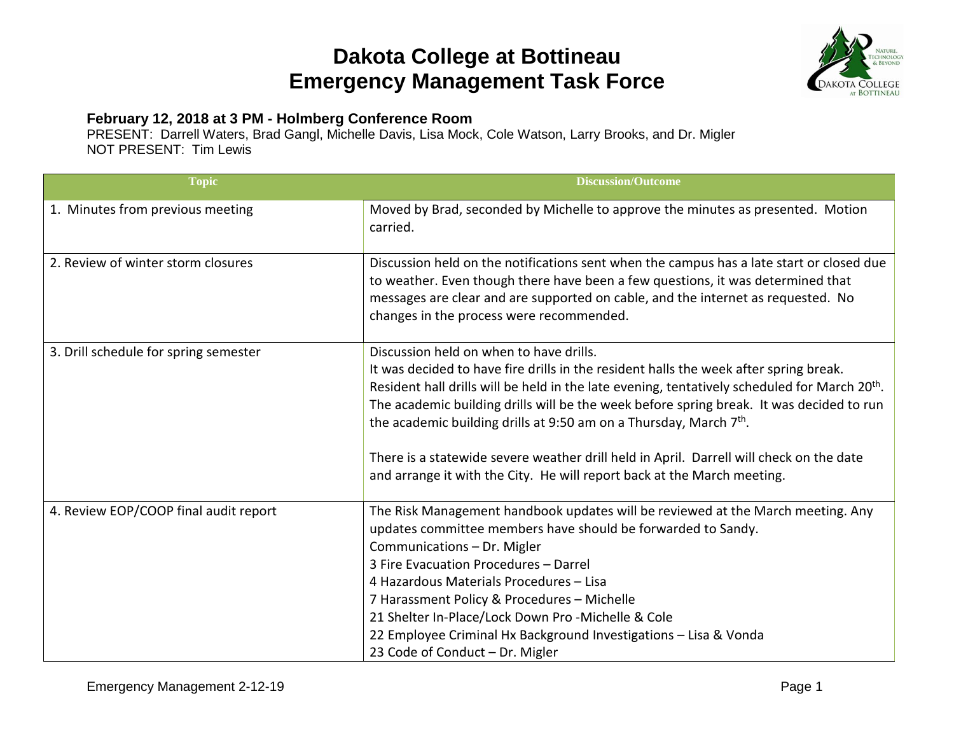## **Dakota College at Bottineau Emergency Management Task Force**



## **February 12, 2018 at 3 PM - Holmberg Conference Room**

PRESENT: Darrell Waters, Brad Gangl, Michelle Davis, Lisa Mock, Cole Watson, Larry Brooks, and Dr. Migler NOT PRESENT: Tim Lewis

| <b>Topic</b>                          | <b>Discussion/Outcome</b>                                                                                                                                                                                                                                                                                                                                                                                                                                                                                                                                                                         |
|---------------------------------------|---------------------------------------------------------------------------------------------------------------------------------------------------------------------------------------------------------------------------------------------------------------------------------------------------------------------------------------------------------------------------------------------------------------------------------------------------------------------------------------------------------------------------------------------------------------------------------------------------|
| 1. Minutes from previous meeting      | Moved by Brad, seconded by Michelle to approve the minutes as presented. Motion<br>carried.                                                                                                                                                                                                                                                                                                                                                                                                                                                                                                       |
| 2. Review of winter storm closures    | Discussion held on the notifications sent when the campus has a late start or closed due<br>to weather. Even though there have been a few questions, it was determined that<br>messages are clear and are supported on cable, and the internet as requested. No<br>changes in the process were recommended.                                                                                                                                                                                                                                                                                       |
| 3. Drill schedule for spring semester | Discussion held on when to have drills.<br>It was decided to have fire drills in the resident halls the week after spring break.<br>Resident hall drills will be held in the late evening, tentatively scheduled for March 20 <sup>th</sup> .<br>The academic building drills will be the week before spring break. It was decided to run<br>the academic building drills at 9:50 am on a Thursday, March 7 <sup>th</sup> .<br>There is a statewide severe weather drill held in April. Darrell will check on the date<br>and arrange it with the City. He will report back at the March meeting. |
| 4. Review EOP/COOP final audit report | The Risk Management handbook updates will be reviewed at the March meeting. Any<br>updates committee members have should be forwarded to Sandy.<br>Communications - Dr. Migler<br>3 Fire Evacuation Procedures - Darrel<br>4 Hazardous Materials Procedures - Lisa<br>7 Harassment Policy & Procedures - Michelle<br>21 Shelter In-Place/Lock Down Pro -Michelle & Cole<br>22 Employee Criminal Hx Background Investigations - Lisa & Vonda<br>23 Code of Conduct - Dr. Migler                                                                                                                    |